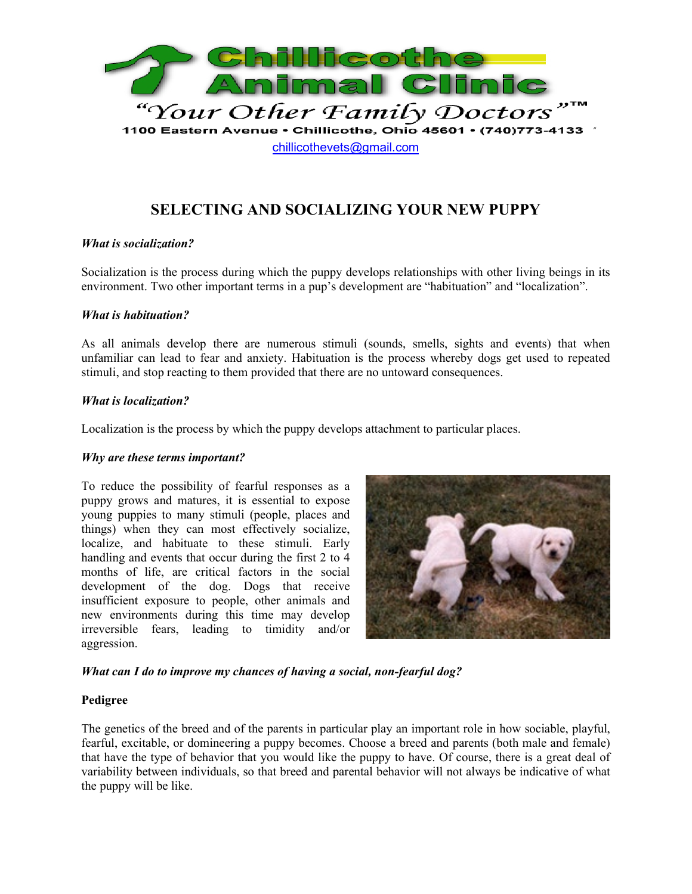

# **SELECTING AND SOCIALIZING YOUR NEW PUPPY**

## *What is socialization?*

Socialization is the process during which the puppy develops relationships with other living beings in its environment. Two other important terms in a pup's development are "habituation" and "localization".

## *What is habituation?*

As all animals develop there are numerous stimuli (sounds, smells, sights and events) that when unfamiliar can lead to fear and anxiety. Habituation is the process whereby dogs get used to repeated stimuli, and stop reacting to them provided that there are no untoward consequences.

## *What is localization?*

Localization is the process by which the puppy develops attachment to particular places.

#### *Why are these terms important?*

To reduce the possibility of fearful responses as a puppy grows and matures, it is essential to expose young puppies to many stimuli (people, places and things) when they can most effectively socialize, localize, and habituate to these stimuli. Early handling and events that occur during the first 2 to 4 months of life, are critical factors in the social development of the dog. Dogs that receive insufficient exposure to people, other animals and new environments during this time may develop irreversible fears, leading to timidity and/or aggression.



## *What can I do to improve my chances of having a social, non-fearful dog?*

## **Pedigree**

The genetics of the breed and of the parents in particular play an important role in how sociable, playful, fearful, excitable, or domineering a puppy becomes. Choose a breed and parents (both male and female) that have the type of behavior that you would like the puppy to have. Of course, there is a great deal of variability between individuals, so that breed and parental behavior will not always be indicative of what the puppy will be like.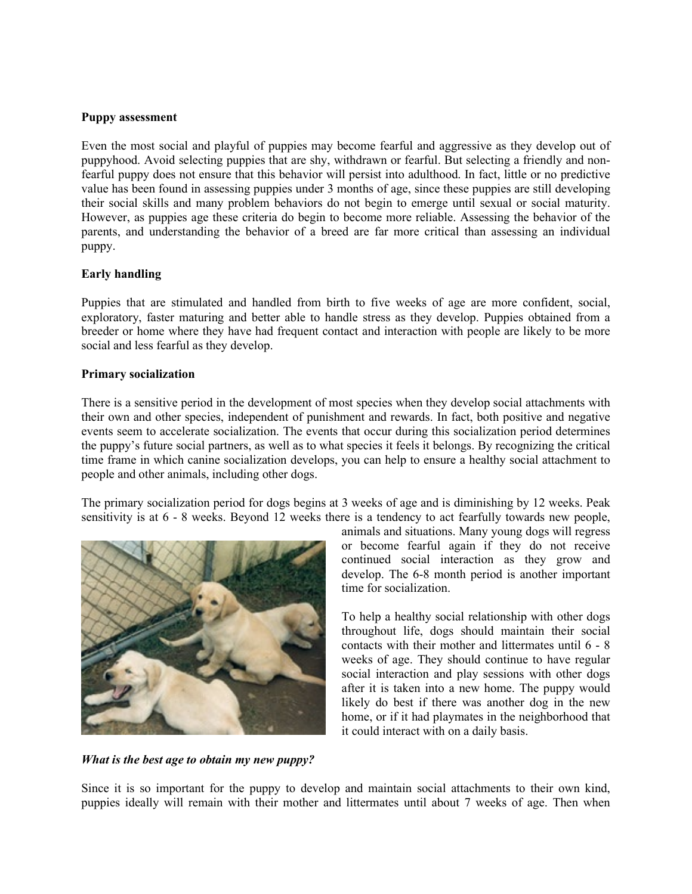#### **Puppy assessment**

Even the most social and playful of puppies may become fearful and aggressive as they develop out of puppyhood. Avoid selecting puppies that are shy, withdrawn or fearful. But selecting a friendly and nonfearful puppy does not ensure that this behavior will persist into adulthood. In fact, little or no predictive value has been found in assessing puppies under 3 months of age, since these puppies are still developing their social skills and many problem behaviors do not begin to emerge until sexual or social maturity. However, as puppies age these criteria do begin to become more reliable. Assessing the behavior of the parents, and understanding the behavior of a breed are far more critical than assessing an individual puppy.

## **Early handling**

Puppies that are stimulated and handled from birth to five weeks of age are more confident, social, exploratory, faster maturing and better able to handle stress as they develop. Puppies obtained from a breeder or home where they have had frequent contact and interaction with people are likely to be more social and less fearful as they develop.

## **Primary socialization**

There is a sensitive period in the development of most species when they develop social attachments with their own and other species, independent of punishment and rewards. In fact, both positive and negative events seem to accelerate socialization. The events that occur during this socialization period determines the puppy's future social partners, as well as to what species it feels it belongs. By recognizing the critical time frame in which canine socialization develops, you can help to ensure a healthy social attachment to people and other animals, including other dogs.

The primary socialization period for dogs begins at 3 weeks of age and is diminishing by 12 weeks. Peak sensitivity is at 6 - 8 weeks. Beyond 12 weeks there is a tendency to act fearfully towards new people,



animals and situations. Many young dogs will regress or become fearful again if they do not receive continued social interaction as they grow and develop. The 6-8 month period is another important time for socialization.

To help a healthy social relationship with other dogs throughout life, dogs should maintain their social contacts with their mother and littermates until 6 - 8 weeks of age. They should continue to have regular social interaction and play sessions with other dogs after it is taken into a new home. The puppy would likely do best if there was another dog in the new home, or if it had playmates in the neighborhood that it could interact with on a daily basis.

*What is the best age to obtain my new puppy?*

Since it is so important for the puppy to develop and maintain social attachments to their own kind, puppies ideally will remain with their mother and littermates until about 7 weeks of age. Then when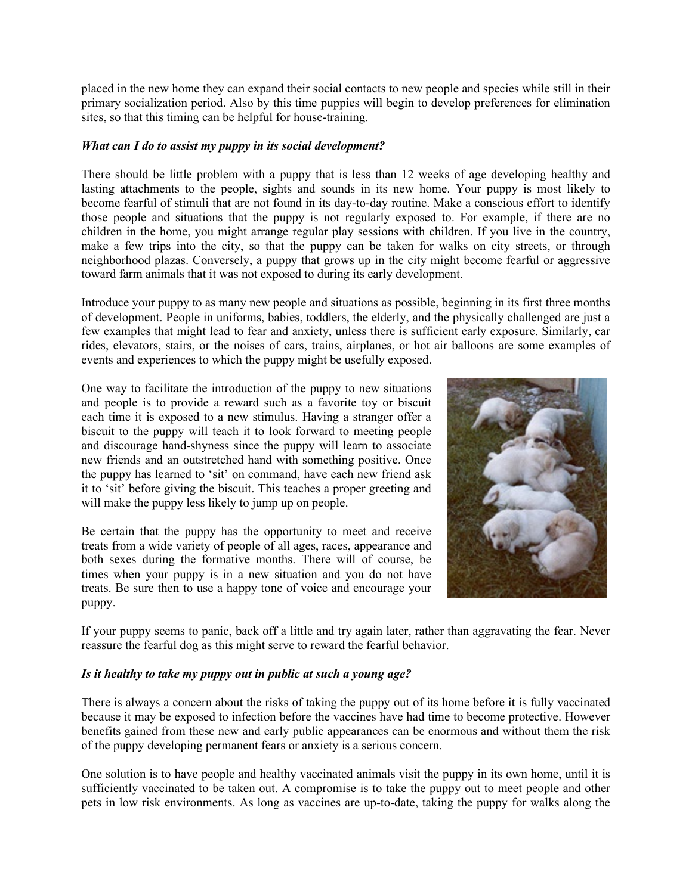placed in the new home they can expand their social contacts to new people and species while still in their primary socialization period. Also by this time puppies will begin to develop preferences for elimination sites, so that this timing can be helpful for house-training.

## *What can I do to assist my puppy in its social development?*

There should be little problem with a puppy that is less than 12 weeks of age developing healthy and lasting attachments to the people, sights and sounds in its new home. Your puppy is most likely to become fearful of stimuli that are not found in its day-to-day routine. Make a conscious effort to identify those people and situations that the puppy is not regularly exposed to. For example, if there are no children in the home, you might arrange regular play sessions with children. If you live in the country, make a few trips into the city, so that the puppy can be taken for walks on city streets, or through neighborhood plazas. Conversely, a puppy that grows up in the city might become fearful or aggressive toward farm animals that it was not exposed to during its early development.

Introduce your puppy to as many new people and situations as possible, beginning in its first three months of development. People in uniforms, babies, toddlers, the elderly, and the physically challenged are just a few examples that might lead to fear and anxiety, unless there is sufficient early exposure. Similarly, car rides, elevators, stairs, or the noises of cars, trains, airplanes, or hot air balloons are some examples of events and experiences to which the puppy might be usefully exposed.

One way to facilitate the introduction of the puppy to new situations and people is to provide a reward such as a favorite toy or biscuit each time it is exposed to a new stimulus. Having a stranger offer a biscuit to the puppy will teach it to look forward to meeting people and discourage hand-shyness since the puppy will learn to associate new friends and an outstretched hand with something positive. Once the puppy has learned to 'sit' on command, have each new friend ask it to 'sit' before giving the biscuit. This teaches a proper greeting and will make the puppy less likely to jump up on people.

Be certain that the puppy has the opportunity to meet and receive treats from a wide variety of people of all ages, races, appearance and both sexes during the formative months. There will of course, be times when your puppy is in a new situation and you do not have treats. Be sure then to use a happy tone of voice and encourage your puppy.



If your puppy seems to panic, back off a little and try again later, rather than aggravating the fear. Never reassure the fearful dog as this might serve to reward the fearful behavior.

## *Is it healthy to take my puppy out in public at such a young age?*

There is always a concern about the risks of taking the puppy out of its home before it is fully vaccinated because it may be exposed to infection before the vaccines have had time to become protective. However benefits gained from these new and early public appearances can be enormous and without them the risk of the puppy developing permanent fears or anxiety is a serious concern.

One solution is to have people and healthy vaccinated animals visit the puppy in its own home, until it is sufficiently vaccinated to be taken out. A compromise is to take the puppy out to meet people and other pets in low risk environments. As long as vaccines are up-to-date, taking the puppy for walks along the